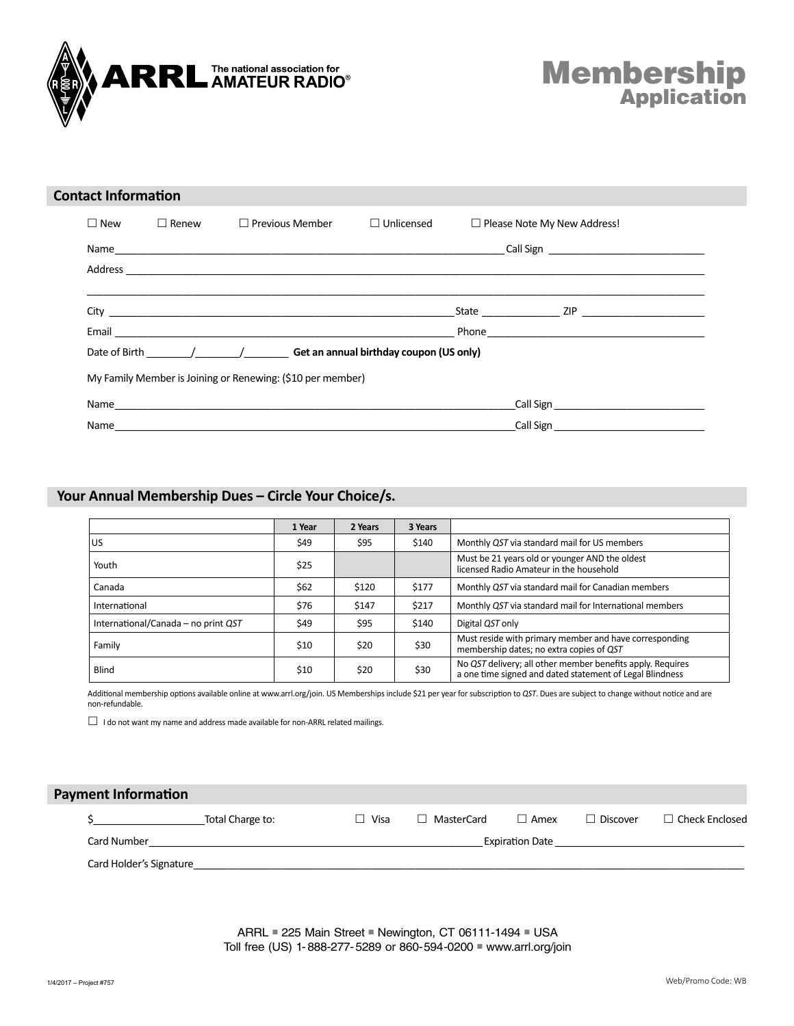

# **Membership Application**

| <b>Contact Information</b> |              |                                                             |                   |                                    |  |  |
|----------------------------|--------------|-------------------------------------------------------------|-------------------|------------------------------------|--|--|
| $\Box$ New                 | $\Box$ Renew | $\Box$ Previous Member                                      | $\Box$ Unlicensed | $\Box$ Please Note My New Address! |  |  |
|                            |              |                                                             |                   |                                    |  |  |
|                            |              |                                                             |                   |                                    |  |  |
|                            |              |                                                             |                   |                                    |  |  |
|                            |              |                                                             |                   |                                    |  |  |
|                            |              | Date of Birth $/$ / Get an annual birthday coupon (US only) |                   |                                    |  |  |
|                            |              | My Family Member is Joining or Renewing: (\$10 per member)  |                   |                                    |  |  |
|                            |              |                                                             |                   |                                    |  |  |
| Name                       |              |                                                             |                   |                                    |  |  |

#### Your Annual Membership Dues – Circle Your Choice/s. **Your Annual Membership Dues – Circle Your Choice/s.**

|                                     | 1 Year | 2 Years | 3 Years |                                                                                                                        |
|-------------------------------------|--------|---------|---------|------------------------------------------------------------------------------------------------------------------------|
| US                                  | \$49   | \$95    | \$140   | Monthly QST via standard mail for US members                                                                           |
| Youth                               | \$25   |         |         | Must be 21 years old or younger AND the oldest<br>licensed Radio Amateur in the household                              |
| Canada                              | \$62   | \$120   | \$177   | Monthly QST via standard mail for Canadian members                                                                     |
| International                       | \$76   | \$147   | \$217   | Monthly QST via standard mail for International members                                                                |
| International/Canada – no print QST | \$49   | \$95    | \$140   | Digital QST only                                                                                                       |
| Family                              | \$10   | \$20    | \$30    | Must reside with primary member and have corresponding<br>membership dates; no extra copies of QST                     |
| <b>Blind</b>                        | \$10   | \$20    | \$30    | No QST delivery; all other member benefits apply. Requires<br>a one time signed and dated statement of Legal Blindness |

Additional membership options available online at www.arrl.org/join. US Memberships include \$21 per year for subscription to *QST*. Dues are subject to change without notice and are non-refundable.

 $\Box$  I do not want my name and address made available for non-ARRL related mailings.

# **Payment Information** \$<br>
\$
Total Charge to: 
△

D Visa 
△

D MasterCard  $\Box$  Amex  $\Box$  Discover  $\Box$  Check Enclosed Card Number \_\_\_\_\_\_\_\_\_\_\_\_\_\_\_\_\_\_\_\_\_\_\_\_\_\_\_\_\_\_\_\_\_\_\_\_\_\_\_\_\_\_\_\_\_\_\_\_\_\_\_\_\_\_\_\_\_\_\_\_ExpiraƟ on Date \_\_\_\_\_\_\_\_\_\_\_\_\_\_\_\_\_\_\_\_\_\_\_\_\_\_\_\_\_\_\_\_\_\_

Card Holder's Signature

ARRL ■ 225 Main Street ■ Newington, CT 06111-1494 ■ USA Toll free (US) 1-888-277-5289 or 860-594-0200 ■ www.arrl.org/join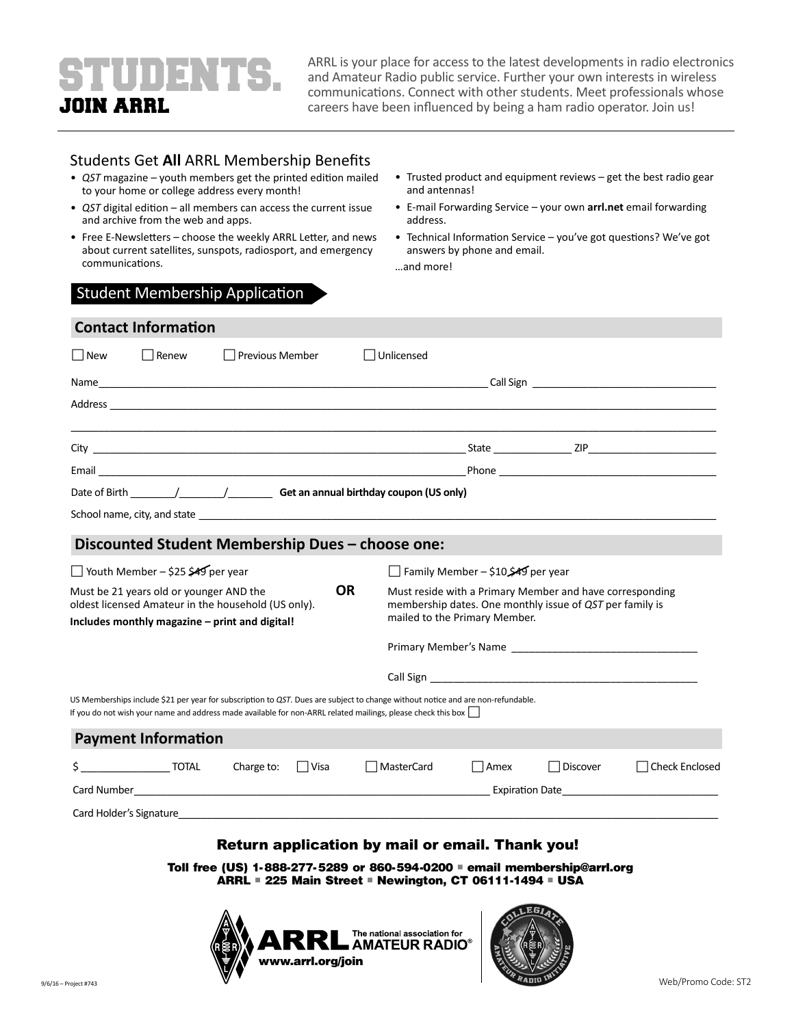# STUDENTS. JOIN ARRL

ARRL is your place for access to the latest developments in radio electronics and Amateur Radio public service. Further your own interests in wireless communications. Connect with other students. Meet professionals whose careers have been influenced by being a ham radio operator. Join us!

## **Students Get All ARRL Membership Benefits**

- *QST* magazine youth members get the printed edition mailed to your home or college address every month!
- *QST* digital edition all members can access the current issue and archive from the web and apps.
- Free E-Newsletters choose the weekly ARRL Letter, and news about current satellites, sunspots, radiosport, and emergency communications.
- Trusted product and equipment reviews get the best radio gear and antennas!
- E-mail Forwarding Service your own **arrl.net** email forwarding address.
- Technical Information Service you've got questions? We've got answers by phone and email.

…and more!

### Student Membership Application

|                                                                                                                                                               | Unlicensed |                                                  |                                                                                                                                                                                                                                                                                                                                                                                                                                                                                                                                                                                  |                                                                                                                                                                                                                                                                                                                                                                                                                                                                                                                                                                   |  |  |  |
|---------------------------------------------------------------------------------------------------------------------------------------------------------------|------------|--------------------------------------------------|----------------------------------------------------------------------------------------------------------------------------------------------------------------------------------------------------------------------------------------------------------------------------------------------------------------------------------------------------------------------------------------------------------------------------------------------------------------------------------------------------------------------------------------------------------------------------------|-------------------------------------------------------------------------------------------------------------------------------------------------------------------------------------------------------------------------------------------------------------------------------------------------------------------------------------------------------------------------------------------------------------------------------------------------------------------------------------------------------------------------------------------------------------------|--|--|--|
|                                                                                                                                                               |            |                                                  |                                                                                                                                                                                                                                                                                                                                                                                                                                                                                                                                                                                  |                                                                                                                                                                                                                                                                                                                                                                                                                                                                                                                                                                   |  |  |  |
|                                                                                                                                                               |            |                                                  |                                                                                                                                                                                                                                                                                                                                                                                                                                                                                                                                                                                  |                                                                                                                                                                                                                                                                                                                                                                                                                                                                                                                                                                   |  |  |  |
|                                                                                                                                                               |            |                                                  |                                                                                                                                                                                                                                                                                                                                                                                                                                                                                                                                                                                  |                                                                                                                                                                                                                                                                                                                                                                                                                                                                                                                                                                   |  |  |  |
|                                                                                                                                                               |            |                                                  |                                                                                                                                                                                                                                                                                                                                                                                                                                                                                                                                                                                  |                                                                                                                                                                                                                                                                                                                                                                                                                                                                                                                                                                   |  |  |  |
|                                                                                                                                                               |            |                                                  |                                                                                                                                                                                                                                                                                                                                                                                                                                                                                                                                                                                  |                                                                                                                                                                                                                                                                                                                                                                                                                                                                                                                                                                   |  |  |  |
|                                                                                                                                                               |            |                                                  |                                                                                                                                                                                                                                                                                                                                                                                                                                                                                                                                                                                  |                                                                                                                                                                                                                                                                                                                                                                                                                                                                                                                                                                   |  |  |  |
|                                                                                                                                                               |            |                                                  |                                                                                                                                                                                                                                                                                                                                                                                                                                                                                                                                                                                  |                                                                                                                                                                                                                                                                                                                                                                                                                                                                                                                                                                   |  |  |  |
|                                                                                                                                                               |            |                                                  |                                                                                                                                                                                                                                                                                                                                                                                                                                                                                                                                                                                  |                                                                                                                                                                                                                                                                                                                                                                                                                                                                                                                                                                   |  |  |  |
| <b>OR</b><br>Must be 21 years old or younger AND the<br>oldest licensed Amateur in the household (US only).<br>Includes monthly magazine - print and digital! |            |                                                  |                                                                                                                                                                                                                                                                                                                                                                                                                                                                                                                                                                                  | Must reside with a Primary Member and have corresponding<br>membership dates. One monthly issue of QST per family is<br>mailed to the Primary Member.                                                                                                                                                                                                                                                                                                                                                                                                             |  |  |  |
|                                                                                                                                                               |            |                                                  |                                                                                                                                                                                                                                                                                                                                                                                                                                                                                                                                                                                  |                                                                                                                                                                                                                                                                                                                                                                                                                                                                                                                                                                   |  |  |  |
|                                                                                                                                                               |            |                                                  |                                                                                                                                                                                                                                                                                                                                                                                                                                                                                                                                                                                  |                                                                                                                                                                                                                                                                                                                                                                                                                                                                                                                                                                   |  |  |  |
|                                                                                                                                                               |            |                                                  |                                                                                                                                                                                                                                                                                                                                                                                                                                                                                                                                                                                  |                                                                                                                                                                                                                                                                                                                                                                                                                                                                                                                                                                   |  |  |  |
|                                                                                                                                                               |            |                                                  |                                                                                                                                                                                                                                                                                                                                                                                                                                                                                                                                                                                  |                                                                                                                                                                                                                                                                                                                                                                                                                                                                                                                                                                   |  |  |  |
| $\Box$ Visa                                                                                                                                                   | MasterCard | Amex                                             | Discover                                                                                                                                                                                                                                                                                                                                                                                                                                                                                                                                                                         | <b>Check Enclosed</b>                                                                                                                                                                                                                                                                                                                                                                                                                                                                                                                                             |  |  |  |
|                                                                                                                                                               |            |                                                  |                                                                                                                                                                                                                                                                                                                                                                                                                                                                                                                                                                                  |                                                                                                                                                                                                                                                                                                                                                                                                                                                                                                                                                                   |  |  |  |
|                                                                                                                                                               |            |                                                  |                                                                                                                                                                                                                                                                                                                                                                                                                                                                                                                                                                                  |                                                                                                                                                                                                                                                                                                                                                                                                                                                                                                                                                                   |  |  |  |
|                                                                                                                                                               |            | Discounted Student Membership Dues - choose one: | If you do not wish your name and address made available for non-ARRL related mailings, please check this box<br>Card Number and Security and Security and Security and Security and Security and Security and Security and Security and Security and Security and Security and Security and Security and Security and Security and Security an<br>Card Holder's Signature experience of the state of the state of the state of the state of the state of the state of the state of the state of the state of the state of the state of the state of the state of the state of th | School name, city, and state state and state and state and state and state and state and state and state and state<br>Family Member - \$10.\$49 per year<br>Call Sign and the contract of the contract of the contract of the contract of the contract of the contract of the contract of the contract of the contract of the contract of the contract of the contract of the contract of<br>US Memberships include \$21 per year for subscription to QST. Dues are subject to change without notice and are non-refundable.<br>Expiration Date <b>Expiration</b> |  |  |  |

### Return application by mail or email. Thank you!

**Toll free (US) 1-888-277-5289 or 860-594-0200** ■ **email membership@arrl.org ARRL** ■ **225 Main Street** ■ **Newington, CT 06111-1494** ■ **USA**